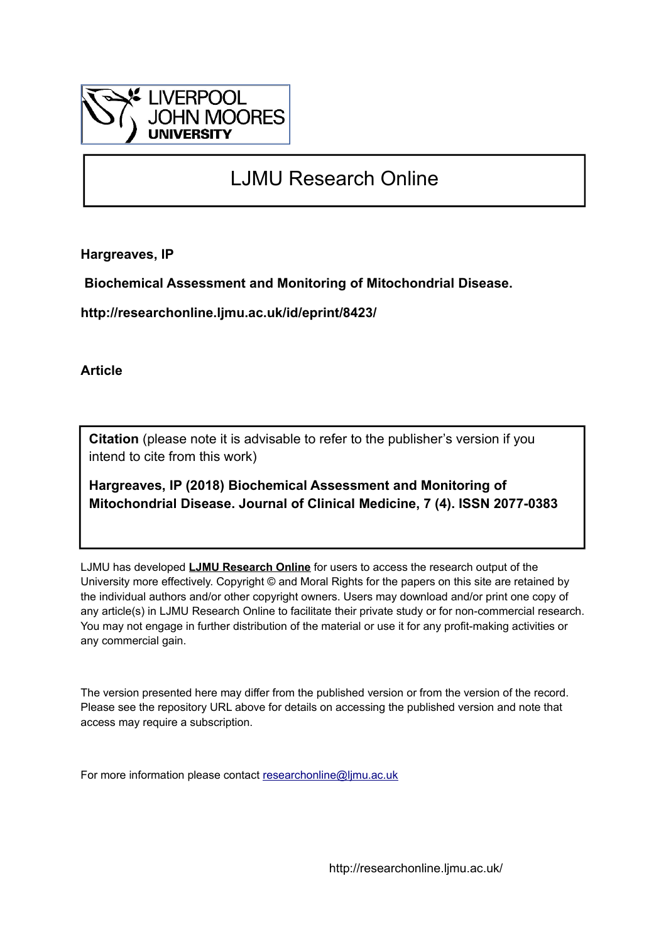

## LJMU Research Online

**Hargreaves, IP**

 **Biochemical Assessment and Monitoring of Mitochondrial Disease.**

**http://researchonline.ljmu.ac.uk/id/eprint/8423/**

**Article**

**Citation** (please note it is advisable to refer to the publisher's version if you intend to cite from this work)

**Hargreaves, IP (2018) Biochemical Assessment and Monitoring of Mitochondrial Disease. Journal of Clinical Medicine, 7 (4). ISSN 2077-0383** 

LJMU has developed **[LJMU Research Online](http://researchonline.ljmu.ac.uk/)** for users to access the research output of the University more effectively. Copyright © and Moral Rights for the papers on this site are retained by the individual authors and/or other copyright owners. Users may download and/or print one copy of any article(s) in LJMU Research Online to facilitate their private study or for non-commercial research. You may not engage in further distribution of the material or use it for any profit-making activities or any commercial gain.

The version presented here may differ from the published version or from the version of the record. Please see the repository URL above for details on accessing the published version and note that access may require a subscription.

For more information please contact [researchonline@ljmu.ac.uk](mailto:researchonline@ljmu.ac.uk)

http://researchonline.ljmu.ac.uk/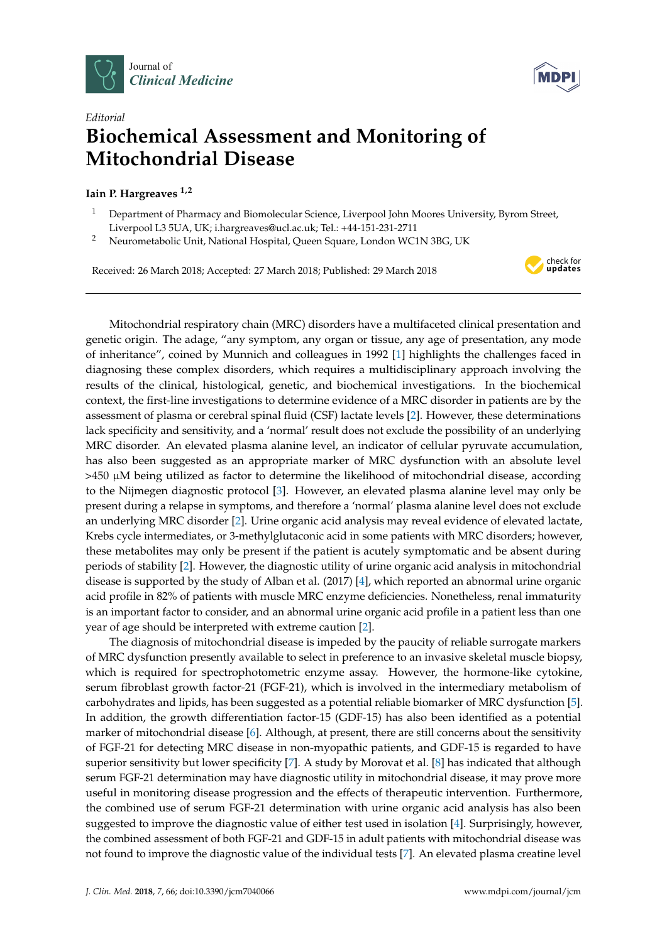



## *Editorial* **Biochemical Assessment and Monitoring of Mitochondrial Disease**

## **Iain P. Hargreaves 1,2**

- <sup>1</sup> Department of Pharmacy and Biomolecular Science, Liverpool John Moores University, Byrom Street, Liverpool L3 5UA, UK; i.hargreaves@ucl.ac.uk; Tel.: +44-151-231-2711
- <sup>2</sup> Neurometabolic Unit, National Hospital, Queen Square, London WC1N 3BG, UK

Received: 26 March 2018; Accepted: 27 March 2018; Published: 29 March 2018



Mitochondrial respiratory chain (MRC) disorders have a multifaceted clinical presentation and genetic origin. The adage, "any symptom, any organ or tissue, any age of presentation, any mode of inheritance", coined by Munnich and colleagues in 1992 [\[1\]](#page-2-0) highlights the challenges faced in diagnosing these complex disorders, which requires a multidisciplinary approach involving the results of the clinical, histological, genetic, and biochemical investigations. In the biochemical context, the first-line investigations to determine evidence of a MRC disorder in patients are by the assessment of plasma or cerebral spinal fluid (CSF) lactate levels [\[2\]](#page-2-1). However, these determinations lack specificity and sensitivity, and a 'normal' result does not exclude the possibility of an underlying MRC disorder. An elevated plasma alanine level, an indicator of cellular pyruvate accumulation, has also been suggested as an appropriate marker of MRC dysfunction with an absolute level  $>450$   $\mu$ M being utilized as factor to determine the likelihood of mitochondrial disease, according to the Nijmegen diagnostic protocol [\[3\]](#page-2-2). However, an elevated plasma alanine level may only be present during a relapse in symptoms, and therefore a 'normal' plasma alanine level does not exclude an underlying MRC disorder [\[2\]](#page-2-1). Urine organic acid analysis may reveal evidence of elevated lactate, Krebs cycle intermediates, or 3-methylglutaconic acid in some patients with MRC disorders; however, these metabolites may only be present if the patient is acutely symptomatic and be absent during periods of stability [\[2\]](#page-2-1). However, the diagnostic utility of urine organic acid analysis in mitochondrial disease is supported by the study of Alban et al. (2017) [\[4\]](#page-2-3), which reported an abnormal urine organic acid profile in 82% of patients with muscle MRC enzyme deficiencies. Nonetheless, renal immaturity is an important factor to consider, and an abnormal urine organic acid profile in a patient less than one year of age should be interpreted with extreme caution [\[2\]](#page-2-1).

The diagnosis of mitochondrial disease is impeded by the paucity of reliable surrogate markers of MRC dysfunction presently available to select in preference to an invasive skeletal muscle biopsy, which is required for spectrophotometric enzyme assay. However, the hormone-like cytokine, serum fibroblast growth factor-21 (FGF-21), which is involved in the intermediary metabolism of carbohydrates and lipids, has been suggested as a potential reliable biomarker of MRC dysfunction [\[5\]](#page-2-4). In addition, the growth differentiation factor-15 (GDF-15) has also been identified as a potential marker of mitochondrial disease [\[6\]](#page-2-5). Although, at present, there are still concerns about the sensitivity of FGF-21 for detecting MRC disease in non-myopathic patients, and GDF-15 is regarded to have superior sensitivity but lower specificity [\[7\]](#page-2-6). A study by Morovat et al. [\[8\]](#page-2-7) has indicated that although serum FGF-21 determination may have diagnostic utility in mitochondrial disease, it may prove more useful in monitoring disease progression and the effects of therapeutic intervention. Furthermore, the combined use of serum FGF-21 determination with urine organic acid analysis has also been suggested to improve the diagnostic value of either test used in isolation [\[4\]](#page-2-3). Surprisingly, however, the combined assessment of both FGF-21 and GDF-15 in adult patients with mitochondrial disease was not found to improve the diagnostic value of the individual tests [\[7\]](#page-2-6). An elevated plasma creatine level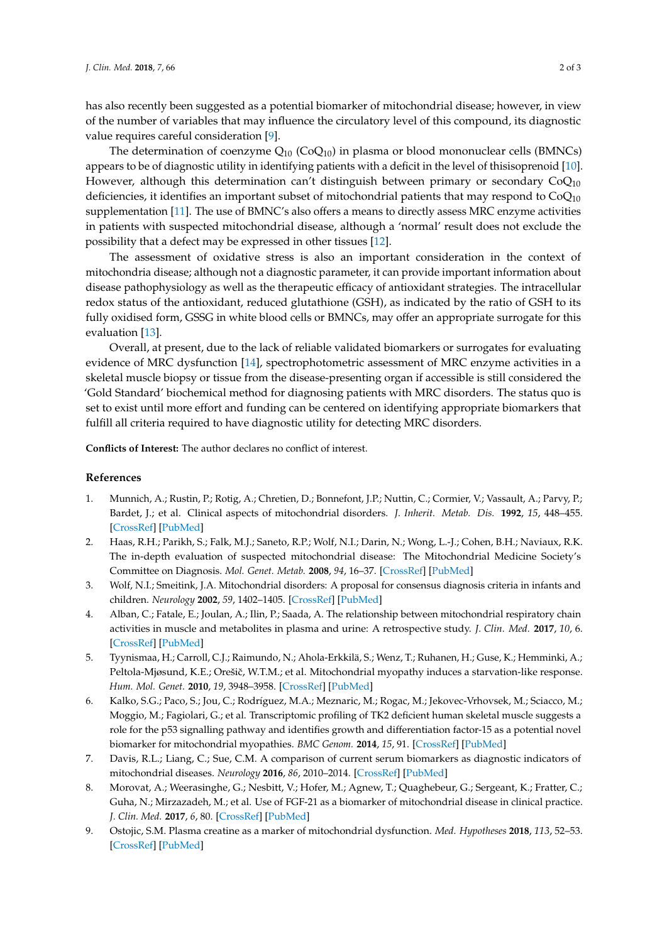has also recently been suggested as a potential biomarker of mitochondrial disease; however, in view of the number of variables that may influence the circulatory level of this compound, its diagnostic value requires careful consideration [\[9\]](#page-2-8).

The determination of coenzyme  $Q_{10}$  (Co $Q_{10}$ ) in plasma or blood mononuclear cells (BMNCs) appears to be of diagnostic utility in identifying patients with a deficit in the level of thisisoprenoid [\[10\]](#page-3-0). However, although this determination can't distinguish between primary or secondary  $CoQ_{10}$ deficiencies, it identifies an important subset of mitochondrial patients that may respond to  $CoQ<sub>10</sub>$ supplementation [\[11\]](#page-3-1). The use of BMNC's also offers a means to directly assess MRC enzyme activities in patients with suspected mitochondrial disease, although a 'normal' result does not exclude the possibility that a defect may be expressed in other tissues [\[12\]](#page-3-2).

The assessment of oxidative stress is also an important consideration in the context of mitochondria disease; although not a diagnostic parameter, it can provide important information about disease pathophysiology as well as the therapeutic efficacy of antioxidant strategies. The intracellular redox status of the antioxidant, reduced glutathione (GSH), as indicated by the ratio of GSH to its fully oxidised form, GSSG in white blood cells or BMNCs, may offer an appropriate surrogate for this evaluation [\[13\]](#page-3-3).

Overall, at present, due to the lack of reliable validated biomarkers or surrogates for evaluating evidence of MRC dysfunction [\[14\]](#page-3-4), spectrophotometric assessment of MRC enzyme activities in a skeletal muscle biopsy or tissue from the disease-presenting organ if accessible is still considered the 'Gold Standard' biochemical method for diagnosing patients with MRC disorders. The status quo is set to exist until more effort and funding can be centered on identifying appropriate biomarkers that fulfill all criteria required to have diagnostic utility for detecting MRC disorders.

**Conflicts of Interest:** The author declares no conflict of interest.

## **References**

- <span id="page-2-0"></span>1. Munnich, A.; Rustin, P.; Rotig, A.; Chretien, D.; Bonnefont, J.P.; Nuttin, C.; Cormier, V.; Vassault, A.; Parvy, P.; Bardet, J.; et al. Clinical aspects of mitochondrial disorders. *J. Inherit. Metab. Dis.* **1992**, *15*, 448–455. [\[CrossRef\]](http://dx.doi.org/10.1007/BF01799603) [\[PubMed\]](http://www.ncbi.nlm.nih.gov/pubmed/1528005)
- <span id="page-2-1"></span>2. Haas, R.H.; Parikh, S.; Falk, M.J.; Saneto, R.P.; Wolf, N.I.; Darin, N.; Wong, L.-J.; Cohen, B.H.; Naviaux, R.K. The in-depth evaluation of suspected mitochondrial disease: The Mitochondrial Medicine Society's Committee on Diagnosis. *Mol. Genet. Metab.* **2008**, *94*, 16–37. [\[CrossRef\]](http://dx.doi.org/10.1016/j.ymgme.2007.11.018) [\[PubMed\]](http://www.ncbi.nlm.nih.gov/pubmed/18243024)
- <span id="page-2-2"></span>3. Wolf, N.I.; Smeitink, J.A. Mitochondrial disorders: A proposal for consensus diagnosis criteria in infants and children. *Neurology* **2002**, *59*, 1402–1405. [\[CrossRef\]](http://dx.doi.org/10.1212/01.WNL.0000031795.91814.D8) [\[PubMed\]](http://www.ncbi.nlm.nih.gov/pubmed/12427891)
- <span id="page-2-3"></span>4. Alban, C.; Fatale, E.; Joulan, A.; Ilin, P.; Saada, A. The relationship between mitochondrial respiratory chain activities in muscle and metabolites in plasma and urine: A retrospective study. *J. Clin. Med.* **2017**, *10*, 6. [\[CrossRef\]](http://dx.doi.org/10.3390/jcm6030031) [\[PubMed\]](http://www.ncbi.nlm.nih.gov/pubmed/28287425)
- <span id="page-2-4"></span>5. Tyynismaa, H.; Carroll, C.J.; Raimundo, N.; Ahola-Erkkilä, S.; Wenz, T.; Ruhanen, H.; Guse, K.; Hemminki, A.; Peltola-Mjøsund, K.E.; Orešič, W.T.M.; et al. Mitochondrial myopathy induces a starvation-like response. *Hum. Mol. Genet.* **2010**, *19*, 3948–3958. [\[CrossRef\]](http://dx.doi.org/10.1093/hmg/ddq310) [\[PubMed\]](http://www.ncbi.nlm.nih.gov/pubmed/20656789)
- <span id="page-2-5"></span>6. Kalko, S.G.; Paco, S.; Jou, C.; Rodríguez, M.A.; Meznaric, M.; Rogac, M.; Jekovec-Vrhovsek, M.; Sciacco, M.; Moggio, M.; Fagiolari, G.; et al. Transcriptomic profiling of TK2 deficient human skeletal muscle suggests a role for the p53 signalling pathway and identifies growth and differentiation factor-15 as a potential novel biomarker for mitochondrial myopathies. *BMC Genom.* **2014**, *15*, 91. [\[CrossRef\]](http://dx.doi.org/10.1186/1471-2164-15-91) [\[PubMed\]](http://www.ncbi.nlm.nih.gov/pubmed/24484525)
- <span id="page-2-6"></span>7. Davis, R.L.; Liang, C.; Sue, C.M. A comparison of current serum biomarkers as diagnostic indicators of mitochondrial diseases. *Neurology* **2016**, *86*, 2010–2014. [\[CrossRef\]](http://dx.doi.org/10.1212/WNL.0000000000002705) [\[PubMed\]](http://www.ncbi.nlm.nih.gov/pubmed/27164684)
- <span id="page-2-7"></span>8. Morovat, A.; Weerasinghe, G.; Nesbitt, V.; Hofer, M.; Agnew, T.; Quaghebeur, G.; Sergeant, K.; Fratter, C.; Guha, N.; Mirzazadeh, M.; et al. Use of FGF-21 as a biomarker of mitochondrial disease in clinical practice. *J. Clin. Med.* **2017**, *6*, 80. [\[CrossRef\]](http://dx.doi.org/10.3390/jcm6080080) [\[PubMed\]](http://www.ncbi.nlm.nih.gov/pubmed/28825656)
- <span id="page-2-8"></span>9. Ostojic, S.M. Plasma creatine as a marker of mitochondrial dysfunction. *Med. Hypotheses* **2018**, *113*, 52–53. [\[CrossRef\]](http://dx.doi.org/10.1016/j.mehy.2018.02.022) [\[PubMed\]](http://www.ncbi.nlm.nih.gov/pubmed/29523294)